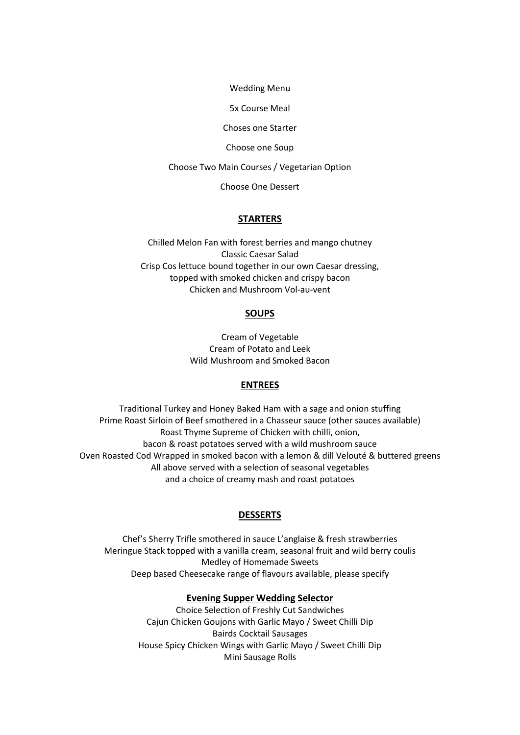Wedding Menu

5x Course Meal

Choses one Starter

Choose one Soup

Choose Two Main Courses / Vegetarian Option

Choose One Dessert

### **STARTERS**

Chilled Melon Fan with forest berries and mango chutney Classic Caesar Salad Crisp Cos lettuce bound together in our own Caesar dressing, topped with smoked chicken and crispy bacon Chicken and Mushroom Vol-au-vent

### **SOUPS**

Cream of Vegetable Cream of Potato and Leek Wild Mushroom and Smoked Bacon

# **ENTREES**

Traditional Turkey and Honey Baked Ham with a sage and onion stuffing Prime Roast Sirloin of Beef smothered in a Chasseur sauce (other sauces available) Roast Thyme Supreme of Chicken with chilli, onion, bacon & roast potatoes served with a wild mushroom sauce Oven Roasted Cod Wrapped in smoked bacon with a lemon & dill Velouté & buttered greens All above served with a selection of seasonal vegetables and a choice of creamy mash and roast potatoes

### **DESSERTS**

Chef's Sherry Trifle smothered in sauce L'anglaise & fresh strawberries Meringue Stack topped with a vanilla cream, seasonal fruit and wild berry coulis Medley of Homemade Sweets Deep based Cheesecake range of flavours available, please specify

## **Evening Supper Wedding Selector**

Choice Selection of Freshly Cut Sandwiches Cajun Chicken Goujons with Garlic Mayo / Sweet Chilli Dip Bairds Cocktail Sausages House Spicy Chicken Wings with Garlic Mayo / Sweet Chilli Dip Mini Sausage Rolls